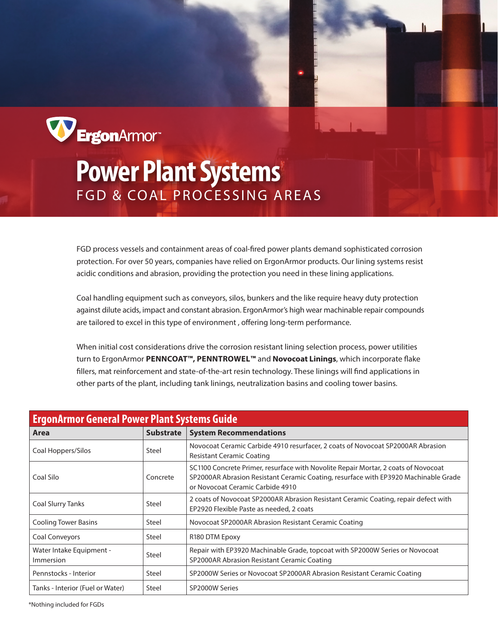

## **Power Plant Systems** FGD & COAL PROCESSING AREAS

FGD process vessels and containment areas of coal-fired power plants demand sophisticated corrosion protection. For over 50 years, companies have relied on ErgonArmor products. Our lining systems resist acidic conditions and abrasion, providing the protection you need in these lining applications.

Coal handling equipment such as conveyors, silos, bunkers and the like require heavy duty protection against dilute acids, impact and constant abrasion. ErgonArmor's high wear machinable repair compounds are tailored to excel in this type of environment , offering long-term performance.

When initial cost considerations drive the corrosion resistant lining selection process, power utilities turn to ErgonArmor **PENNCOAT™, PENNTROWEL™** and **Novocoat Linings**, which incorporate flake fillers, mat reinforcement and state-of-the-art resin technology. These linings will find applications in other parts of the plant, including tank linings, neutralization basins and cooling tower basins.

| <b>ErgonArmor General Power Plant Systems Guide</b> |                  |                                                                                                                                                                                                               |  |  |  |  |
|-----------------------------------------------------|------------------|---------------------------------------------------------------------------------------------------------------------------------------------------------------------------------------------------------------|--|--|--|--|
| Area                                                | <b>Substrate</b> | <b>System Recommendations</b>                                                                                                                                                                                 |  |  |  |  |
| Coal Hoppers/Silos                                  | Steel            | Novocoat Ceramic Carbide 4910 resurfacer, 2 coats of Novocoat SP2000AR Abrasion<br><b>Resistant Ceramic Coating</b>                                                                                           |  |  |  |  |
| Coal Silo                                           | Concrete         | SC1100 Concrete Primer, resurface with Novolite Repair Mortar, 2 coats of Novocoat<br>SP2000AR Abrasion Resistant Ceramic Coating, resurface with EP3920 Machinable Grade<br>or Novocoat Ceramic Carbide 4910 |  |  |  |  |
| <b>Coal Slurry Tanks</b>                            | Steel            | 2 coats of Novocoat SP2000AR Abrasion Resistant Ceramic Coating, repair defect with<br>EP2920 Flexible Paste as needed, 2 coats                                                                               |  |  |  |  |
| <b>Cooling Tower Basins</b>                         | Steel            | Novocoat SP2000AR Abrasion Resistant Ceramic Coating                                                                                                                                                          |  |  |  |  |
| Coal Conveyors                                      | Steel            | R <sub>180</sub> DTM Epoxy                                                                                                                                                                                    |  |  |  |  |
| Water Intake Equipment -<br>Immersion               | Steel            | Repair with EP3920 Machinable Grade, topcoat with SP2000W Series or Novocoat<br>SP2000AR Abrasion Resistant Ceramic Coating                                                                                   |  |  |  |  |
| Pennstocks - Interior                               | Steel            | SP2000W Series or Novocoat SP2000AR Abrasion Resistant Ceramic Coating                                                                                                                                        |  |  |  |  |
| Tanks - Interior (Fuel or Water)                    | Steel            | SP2000W Series                                                                                                                                                                                                |  |  |  |  |

\*Nothing included for FGDs